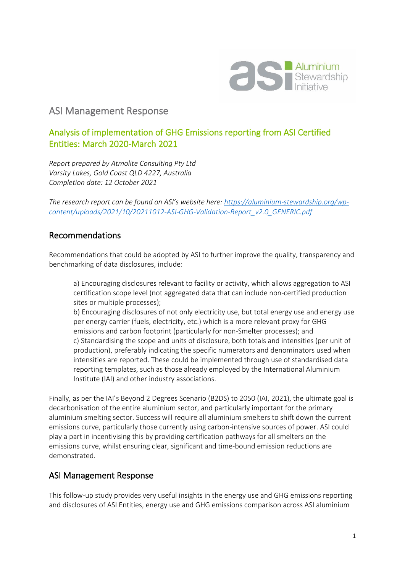

## ASI Management Response

## Analysis of implementation of GHG Emissions reporting from ASI Certified Entities: March 2020-March 2021

*Report prepared by Atmolite Consulting Pty Ltd Varsity Lakes, Gold Coast QLD 4227, Australia Completion date: 12 October 2021*

*The research report can be found on ASI's website here: [https://aluminium-stewardship.org/wp](https://aluminium-stewardship.org/wp-content/uploads/2021/10/20211012-ASI-GHG-Validation-Report_v2.0_GENERIC.pdf)[content/uploads/2021/10/20211012-ASI-GHG-Validation-Report\\_v2.0\\_GENERIC.pdf](https://aluminium-stewardship.org/wp-content/uploads/2021/10/20211012-ASI-GHG-Validation-Report_v2.0_GENERIC.pdf)*

## Recommendations

Recommendations that could be adopted by ASI to further improve the quality, transparency and benchmarking of data disclosures, include:

a) Encouraging disclosures relevant to facility or activity, which allows aggregation to ASI certification scope level (not aggregated data that can include non-certified production sites or multiple processes);

b) Encouraging disclosures of not only electricity use, but total energy use and energy use per energy carrier (fuels, electricity, etc.) which is a more relevant proxy for GHG emissions and carbon footprint (particularly for non-Smelter processes); and c) Standardising the scope and units of disclosure, both totals and intensities (per unit of production), preferably indicating the specific numerators and denominators used when intensities are reported. These could be implemented through use of standardised data reporting templates, such as those already employed by the International Aluminium Institute (IAI) and other industry associations.

Finally, as per the IAI's Beyond 2 Degrees Scenario (B2DS) to 2050 (IAI, 2021), the ultimate goal is decarbonisation of the entire aluminium sector, and particularly important for the primary aluminium smelting sector. Success will require all aluminium smelters to shift down the current emissions curve, particularly those currently using carbon-intensive sources of power. ASI could play a part in incentivising this by providing certification pathways for all smelters on the emissions curve, whilst ensuring clear, significant and time-bound emission reductions are demonstrated.

## ASI Management Response

This follow-up study provides very useful insights in the energy use and GHG emissions reporting and disclosures of ASI Entities, energy use and GHG emissions comparison across ASI aluminium